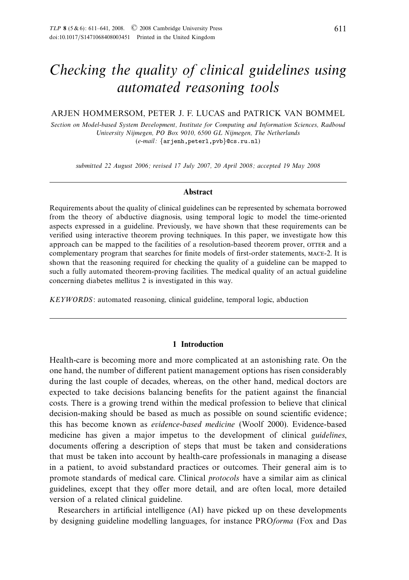# Checking the quality of clinical guidelines using automated reasoning tools

# ARJEN HOMMERSOM, PETER J. F. LUCAS and PATRICK VAN BOMMEL

Section on Model-based System Development, Institute for Computing and Information Sciences, Radboud University Nijmegen, PO Box 9010, 6500 GL Nijmegen, The Netherlands (e-mail: {arjenh,peterl,pvb}@cs.ru.nl)

submitted 22 August 2006; revised 17 July 2007, 20 April 2008; accepted 19 May 2008

#### **Abstract**

Requirements about the quality of clinical guidelines can be represented by schemata borrowed from the theory of abductive diagnosis, using temporal logic to model the time-oriented aspects expressed in a guideline. Previously, we have shown that these requirements can be verified using interactive theorem proving techniques. In this paper, we investigate how this approach can be mapped to the facilities of a resolution-based theorem prover, OTTER and a complementary program that searches for finite models of first-order statements, mace-2. It is shown that the reasoning required for checking the quality of a guideline can be mapped to such a fully automated theorem-proving facilities. The medical quality of an actual guideline concerning diabetes mellitus 2 is investigated in this way.

KEYWORDS: automated reasoning, clinical guideline, temporal logic, abduction

# **1 Introduction**

Health-care is becoming more and more complicated at an astonishing rate. On the one hand, the number of different patient management options has risen considerably during the last couple of decades, whereas, on the other hand, medical doctors are expected to take decisions balancing benefits for the patient against the financial costs. There is a growing trend within the medical profession to believe that clinical decision-making should be based as much as possible on sound scientific evidence; this has become known as evidence-based medicine (Woolf 2000). Evidence-based medicine has given a major impetus to the development of clinical guidelines, documents offering a description of steps that must be taken and considerations that must be taken into account by health-care professionals in managing a disease in a patient, to avoid substandard practices or outcomes. Their general aim is to promote standards of medical care. Clinical protocols have a similar aim as clinical guidelines, except that they offer more detail, and are often local, more detailed version of a related clinical guideline.

Researchers in artificial intelligence (AI) have picked up on these developments by designing guideline modelling languages, for instance PROforma (Fox and Das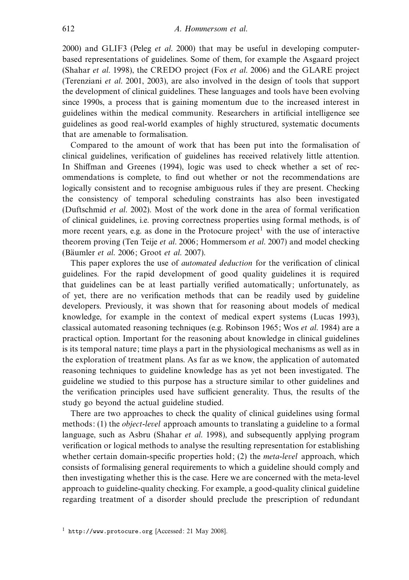2000) and GLIF3 (Peleg et al. 2000) that may be useful in developing computerbased representations of guidelines. Some of them, for example the Asgaard project (Shahar et al. 1998), the CREDO project (Fox et al. 2006) and the GLARE project (Terenziani et al. 2001, 2003), are also involved in the design of tools that support the development of clinical guidelines. These languages and tools have been evolving since 1990s, a process that is gaining momentum due to the increased interest in guidelines within the medical community. Researchers in artificial intelligence see guidelines as good real-world examples of highly structured, systematic documents that are amenable to formalisation.

Compared to the amount of work that has been put into the formalisation of clinical guidelines, verification of guidelines has received relatively little attention. In Shiffman and Greenes (1994), logic was used to check whether a set of recommendations is complete, to find out whether or not the recommendations are logically consistent and to recognise ambiguous rules if they are present. Checking the consistency of temporal scheduling constraints has also been investigated (Duftschmid et al. 2002). Most of the work done in the area of formal verification of clinical guidelines, i.e. proving correctness properties using formal methods, is of more recent years, e.g. as done in the Protocure project<sup>1</sup> with the use of interactive theorem proving (Ten Teije et al. 2006; Hommersom et al. 2007) and model checking (Bäumler et al. 2006; Groot et al. 2007).

This paper explores the use of automated deduction for the verification of clinical guidelines. For the rapid development of good quality guidelines it is required that guidelines can be at least partially verified automatically; unfortunately, as of yet, there are no verification methods that can be readily used by guideline developers. Previously, it was shown that for reasoning about models of medical knowledge, for example in the context of medical expert systems (Lucas 1993), classical automated reasoning techniques (e.g. Robinson 1965; Wos et al. 1984) are a practical option. Important for the reasoning about knowledge in clinical guidelines is its temporal nature; time plays a part in the physiological mechanisms as well as in the exploration of treatment plans. As far as we know, the application of automated reasoning techniques to guideline knowledge has as yet not been investigated. The guideline we studied to this purpose has a structure similar to other guidelines and the verification principles used have sufficient generality. Thus, the results of the study go beyond the actual guideline studied.

There are two approaches to check the quality of clinical guidelines using formal methods: (1) the object-level approach amounts to translating a guideline to a formal language, such as Asbru (Shahar *et al.* 1998), and subsequently applying program verification or logical methods to analyse the resulting representation for establishing whether certain domain-specific properties hold; (2) the *meta-level* approach, which consists of formalising general requirements to which a guideline should comply and then investigating whether this is the case. Here we are concerned with the meta-level approach to guideline-quality checking. For example, a good-quality clinical guideline regarding treatment of a disorder should preclude the prescription of redundant

<sup>1</sup> http://www.protocure.org [Accessed: 21 May 2008].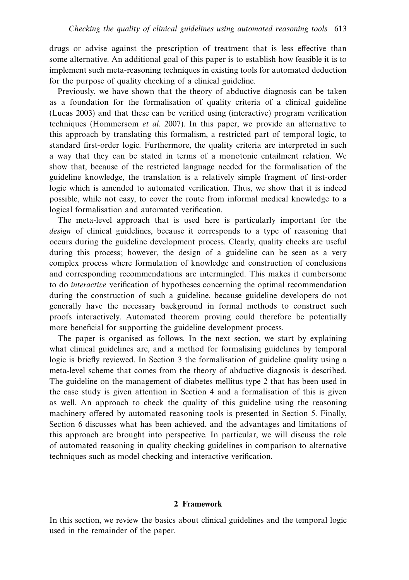drugs or advise against the prescription of treatment that is less effective than some alternative. An additional goal of this paper is to establish how feasible it is to implement such meta-reasoning techniques in existing tools for automated deduction for the purpose of quality checking of a clinical guideline.

Previously, we have shown that the theory of abductive diagnosis can be taken as a foundation for the formalisation of quality criteria of a clinical guideline (Lucas 2003) and that these can be verified using (interactive) program verification techniques (Hommersom et al. 2007). In this paper, we provide an alternative to this approach by translating this formalism, a restricted part of temporal logic, to standard first-order logic. Furthermore, the quality criteria are interpreted in such a way that they can be stated in terms of a monotonic entailment relation. We show that, because of the restricted language needed for the formalisation of the guideline knowledge, the translation is a relatively simple fragment of first-order logic which is amended to automated verification. Thus, we show that it is indeed possible, while not easy, to cover the route from informal medical knowledge to a logical formalisation and automated verification.

The meta-level approach that is used here is particularly important for the design of clinical guidelines, because it corresponds to a type of reasoning that occurs during the guideline development process. Clearly, quality checks are useful during this process; however, the design of a guideline can be seen as a very complex process where formulation of knowledge and construction of conclusions and corresponding recommendations are intermingled. This makes it cumbersome to do interactive verification of hypotheses concerning the optimal recommendation during the construction of such a guideline, because guideline developers do not generally have the necessary background in formal methods to construct such proofs interactively. Automated theorem proving could therefore be potentially more beneficial for supporting the guideline development process.

The paper is organised as follows. In the next section, we start by explaining what clinical guidelines are, and a method for formalising guidelines by temporal logic is briefly reviewed. In Section 3 the formalisation of guideline quality using a meta-level scheme that comes from the theory of abductive diagnosis is described. The guideline on the management of diabetes mellitus type 2 that has been used in the case study is given attention in Section 4 and a formalisation of this is given as well. An approach to check the quality of this guideline using the reasoning machinery offered by automated reasoning tools is presented in Section 5. Finally, Section 6 discusses what has been achieved, and the advantages and limitations of this approach are brought into perspective. In particular, we will discuss the role of automated reasoning in quality checking guidelines in comparison to alternative techniques such as model checking and interactive verification.

#### **2 Framework**

In this section, we review the basics about clinical guidelines and the temporal logic used in the remainder of the paper.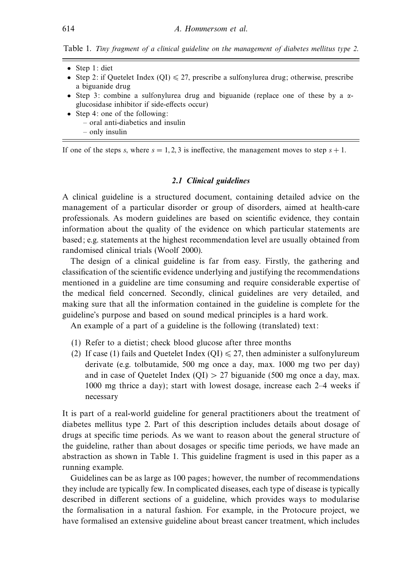Table 1. Tiny fragment of a clinical guideline on the management of diabetes mellitus type 2.

- Step 1: diet
- Step 2: if Quetelet Index (QI)  $\leq$  27, prescribe a sulfonylurea drug; otherwise, prescribe a biguanide drug
- Step 3: combine a sulfonylurea drug and biguanide (replace one of these by a *α*glucosidase inhibitor if side-effects occur)
- Step 4: one of the following:
	- oral anti-diabetics and insulin
	- only insulin

If one of the steps *s*, where  $s = 1, 2, 3$  is ineffective, the management moves to step  $s + 1$ .

# *2.1 Clinical guidelines*

A clinical guideline is a structured document, containing detailed advice on the management of a particular disorder or group of disorders, aimed at health-care professionals. As modern guidelines are based on scientific evidence, they contain information about the quality of the evidence on which particular statements are based; e.g. statements at the highest recommendation level are usually obtained from randomised clinical trials (Woolf 2000).

The design of a clinical guideline is far from easy. Firstly, the gathering and classification of the scientific evidence underlying and justifying the recommendations mentioned in a guideline are time consuming and require considerable expertise of the medical field concerned. Secondly, clinical guidelines are very detailed, and making sure that all the information contained in the guideline is complete for the guideline's purpose and based on sound medical principles is a hard work.

An example of a part of a guideline is the following (translated) text:

- (1) Refer to a dietist; check blood glucose after three months
- (2) If case (1) fails and Quetelet Index (QI)  $\leq 27$ , then administer a sulfonylureum derivate (e.g. tolbutamide, 500 mg once a day, max. 1000 mg two per day) and in case of Quetelet Index  $(QI) > 27$  biguanide (500 mg once a day, max. 1000 mg thrice a day); start with lowest dosage, increase each 2–4 weeks if necessary

It is part of a real-world guideline for general practitioners about the treatment of diabetes mellitus type 2. Part of this description includes details about dosage of drugs at specific time periods. As we want to reason about the general structure of the guideline, rather than about dosages or specific time periods, we have made an abstraction as shown in Table 1. This guideline fragment is used in this paper as a running example.

Guidelines can be as large as 100 pages; however, the number of recommendations they include are typically few. In complicated diseases, each type of disease is typically described in different sections of a guideline, which provides ways to modularise the formalisation in a natural fashion. For example, in the Protocure project, we have formalised an extensive guideline about breast cancer treatment, which includes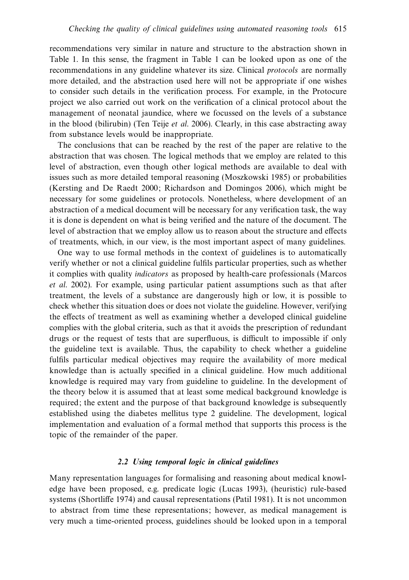recommendations very similar in nature and structure to the abstraction shown in Table 1. In this sense, the fragment in Table 1 can be looked upon as one of the recommendations in any guideline whatever its size. Clinical protocols are normally more detailed, and the abstraction used here will not be appropriate if one wishes to consider such details in the verification process. For example, in the Protocure project we also carried out work on the verification of a clinical protocol about the management of neonatal jaundice, where we focussed on the levels of a substance in the blood (bilirubin) (Ten Teije et al. 2006). Clearly, in this case abstracting away from substance levels would be inappropriate.

The conclusions that can be reached by the rest of the paper are relative to the abstraction that was chosen. The logical methods that we employ are related to this level of abstraction, even though other logical methods are available to deal with issues such as more detailed temporal reasoning (Moszkowski 1985) or probabilities (Kersting and De Raedt 2000; Richardson and Domingos 2006), which might be necessary for some guidelines or protocols. Nonetheless, where development of an abstraction of a medical document will be necessary for any verification task, the way it is done is dependent on what is being verified and the nature of the document. The level of abstraction that we employ allow us to reason about the structure and effects of treatments, which, in our view, is the most important aspect of many guidelines.

One way to use formal methods in the context of guidelines is to automatically verify whether or not a clinical guideline fulfils particular properties, such as whether it complies with quality indicators as proposed by health-care professionals (Marcos et al. 2002). For example, using particular patient assumptions such as that after treatment, the levels of a substance are dangerously high or low, it is possible to check whether this situation does or does not violate the guideline. However, verifying the effects of treatment as well as examining whether a developed clinical guideline complies with the global criteria, such as that it avoids the prescription of redundant drugs or the request of tests that are superfluous, is difficult to impossible if only the guideline text is available. Thus, the capability to check whether a guideline fulfils particular medical objectives may require the availability of more medical knowledge than is actually specified in a clinical guideline. How much additional knowledge is required may vary from guideline to guideline. In the development of the theory below it is assumed that at least some medical background knowledge is required; the extent and the purpose of that background knowledge is subsequently established using the diabetes mellitus type 2 guideline. The development, logical implementation and evaluation of a formal method that supports this process is the topic of the remainder of the paper.

# *2.2 Using temporal logic in clinical guidelines*

Many representation languages for formalising and reasoning about medical knowledge have been proposed, e.g. predicate logic (Lucas 1993), (heuristic) rule-based systems (Shortliffe 1974) and causal representations (Patil 1981). It is not uncommon to abstract from time these representations; however, as medical management is very much a time-oriented process, guidelines should be looked upon in a temporal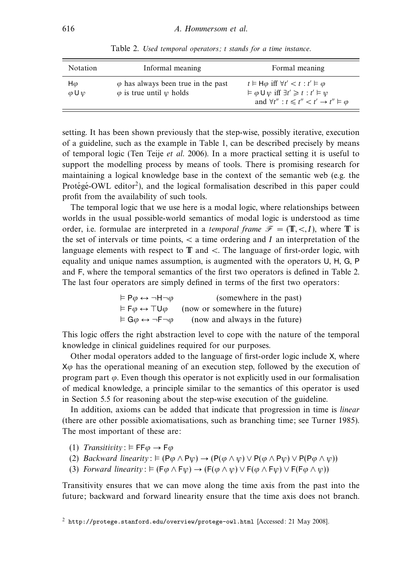| Notation                          | Informal meaning                                                                   | Formal meaning                                                                                                                                                                                                    |
|-----------------------------------|------------------------------------------------------------------------------------|-------------------------------------------------------------------------------------------------------------------------------------------------------------------------------------------------------------------|
| $H\varphi$<br>$\varphi \cup \psi$ | $\varphi$ has always been true in the past<br>$\varphi$ is true until $\psi$ holds | $t \vDash H\varphi$ iff $\forall t' < t : t' \vDash \varphi$<br>$\models \varphi \cup \psi \text{ iff } \exists t' \geq t : t' \models \psi$<br>and $\forall t'': t \leq t'' < t' \rightarrow t'' \vDash \varphi$ |

Table 2. Used temporal operators; *t* stands for a time instance.

setting. It has been shown previously that the step-wise, possibly iterative, execution of a guideline, such as the example in Table 1, can be described precisely by means of temporal logic (Ten Teije et al. 2006). In a more practical setting it is useful to support the modelling process by means of tools. There is promising research for maintaining a logical knowledge base in the context of the semantic web (e.g. the Protégé-OWL editor<sup>2</sup>), and the logical formalisation described in this paper could profit from the availability of such tools.

The temporal logic that we use here is a modal logic, where relationships between worlds in the usual possible-world semantics of modal logic is understood as time order, i.e. formulae are interpreted in a *temporal frame*  $\mathcal{F} = (\mathbb{T}, <, I)$ , where  $\mathbb{T}$  is the set of intervals or time points,  $\lt$  a time ordering and *I* an interpretation of the language elements with respect to  $\mathbb T$  and  $\lt$ . The language of first-order logic, with equality and unique names assumption, is augmented with the operators U, H, G, P and F, where the temporal semantics of the first two operators is defined in Table 2. The last four operators are simply defined in terms of the first two operators:

| $\vDash \mathsf{P}\varphi \leftrightarrow \neg \mathsf{H} \neg \varphi$ | (somewhere in the past)          |
|-------------------------------------------------------------------------|----------------------------------|
| $\vDash \mathsf{F}\phi \leftrightarrow \mathsf{T}\mathsf{U}\phi$        | (now or somewhere in the future) |
| $\vDash$ G $\varphi \leftrightarrow \neg \mathsf{F} \neg \varphi$       | (now and always in the future)   |

This logic offers the right abstraction level to cope with the nature of the temporal knowledge in clinical guidelines required for our purposes.

Other modal operators added to the language of first-order logic include X, where X*ϕ* has the operational meaning of an execution step, followed by the execution of program part *ϕ*. Even though this operator is not explicitly used in our formalisation of medical knowledge, a principle similar to the semantics of this operator is used in Section 5.5 for reasoning about the step-wise execution of the guideline.

In addition, axioms can be added that indicate that progression in time is *linear* (there are other possible axiomatisations, such as branching time; see Turner 1985). The most important of these are:

- (1) Transitivity:  $\models$   $\mathsf{FF}\varphi \rightarrow \mathsf{F}\varphi$
- (2) Backward linearity:  $\vDash (P\phi \land P\psi) \rightarrow (P(\phi \land \psi) \lor P(\phi \land P\psi) \lor P(P\phi \land \psi))$
- (3) Forward linearity:  $\models (F\phi \land F\psi) \rightarrow (F(\phi \land \psi) \lor F(\phi \land F\psi) \lor F(F\phi \land \psi))$

Transitivity ensures that we can move along the time axis from the past into the future; backward and forward linearity ensure that the time axis does not branch.

<sup>2</sup> http://protege.stanford.edu/overview/protege-owl.html [Accessed: 21 May 2008].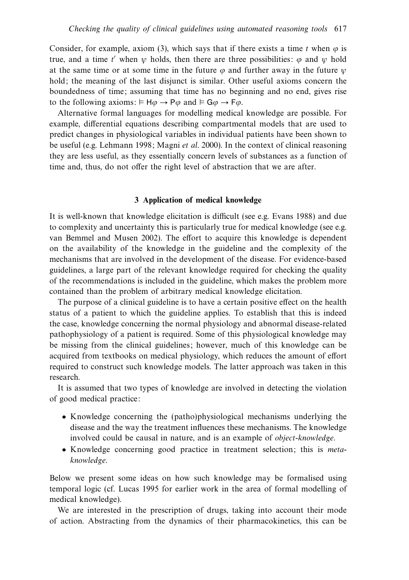Consider, for example, axiom (3), which says that if there exists a time *t* when  $\varphi$  is true, and a time  $t'$  when  $\psi$  holds, then there are three possibilities:  $\varphi$  and  $\psi$  hold at the same time or at some time in the future  $\varphi$  and further away in the future  $\psi$ hold; the meaning of the last disjunct is similar. Other useful axioms concern the boundedness of time; assuming that time has no beginning and no end, gives rise to the following axioms:  $\models H\varphi \rightarrow P\varphi$  and  $\models G\varphi \rightarrow F\varphi$ .

Alternative formal languages for modelling medical knowledge are possible. For example, differential equations describing compartmental models that are used to predict changes in physiological variables in individual patients have been shown to be useful (e.g. Lehmann 1998; Magni et al. 2000). In the context of clinical reasoning they are less useful, as they essentially concern levels of substances as a function of time and, thus, do not offer the right level of abstraction that we are after.

#### **3 Application of medical knowledge**

It is well-known that knowledge elicitation is difficult (see e.g. Evans 1988) and due to complexity and uncertainty this is particularly true for medical knowledge (see e.g. van Bemmel and Musen 2002). The effort to acquire this knowledge is dependent on the availability of the knowledge in the guideline and the complexity of the mechanisms that are involved in the development of the disease. For evidence-based guidelines, a large part of the relevant knowledge required for checking the quality of the recommendations is included in the guideline, which makes the problem more contained than the problem of arbitrary medical knowledge elicitation.

The purpose of a clinical guideline is to have a certain positive effect on the health status of a patient to which the guideline applies. To establish that this is indeed the case, knowledge concerning the normal physiology and abnormal disease-related pathophysiology of a patient is required. Some of this physiological knowledge may be missing from the clinical guidelines; however, much of this knowledge can be acquired from textbooks on medical physiology, which reduces the amount of effort required to construct such knowledge models. The latter approach was taken in this research.

It is assumed that two types of knowledge are involved in detecting the violation of good medical practice:

- Knowledge concerning the (patho)physiological mechanisms underlying the disease and the way the treatment influences these mechanisms. The knowledge involved could be causal in nature, and is an example of object-knowledge.
- Knowledge concerning good practice in treatment selection; this is metaknowledge.

Below we present some ideas on how such knowledge may be formalised using temporal logic (cf. Lucas 1995 for earlier work in the area of formal modelling of medical knowledge).

We are interested in the prescription of drugs, taking into account their mode of action. Abstracting from the dynamics of their pharmacokinetics, this can be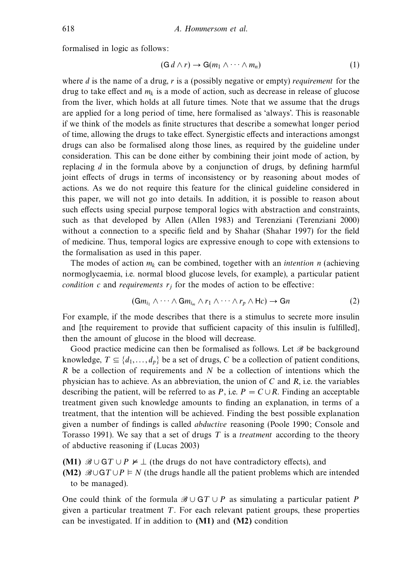formalised in logic as follows:

$$
(\mathbf{G} d \wedge r) \to \mathbf{G}(m_1 \wedge \cdots \wedge m_n) \tag{1}
$$

where *d* is the name of a drug, *r* is a (possibly negative or empty) *requirement* for the drug to take effect and  $m_k$  is a mode of action, such as decrease in release of glucose from the liver, which holds at all future times. Note that we assume that the drugs are applied for a long period of time, here formalised as 'always'. This is reasonable if we think of the models as finite structures that describe a somewhat longer period of time, allowing the drugs to take effect. Synergistic effects and interactions amongst drugs can also be formalised along those lines, as required by the guideline under consideration. This can be done either by combining their joint mode of action, by replacing *d* in the formula above by a conjunction of drugs, by defining harmful joint effects of drugs in terms of inconsistency or by reasoning about modes of actions. As we do not require this feature for the clinical guideline considered in this paper, we will not go into details. In addition, it is possible to reason about such effects using special purpose temporal logics with abstraction and constraints, such as that developed by Allen (Allen 1983) and Terenziani (Terenziani 2000) without a connection to a specific field and by Shahar (Shahar 1997) for the field of medicine. Thus, temporal logics are expressive enough to cope with extensions to the formalisation as used in this paper.

The modes of action  $m_k$  can be combined, together with an *intention n* (achieving normoglycaemia, i.e. normal blood glucose levels, for example), a particular patient *condition c* and *requirements*  $r_j$  for the modes of action to be effective:

$$
(\mathsf{G}m_{i_1} \wedge \cdots \wedge \mathsf{G}m_{i_m} \wedge r_1 \wedge \cdots \wedge r_p \wedge \mathsf{H}c) \rightarrow \mathsf{G}n \tag{2}
$$

For example, if the mode describes that there is a stimulus to secrete more insulin and [the requirement to provide that sufficient capacity of this insulin is fulfilled], then the amount of glucose in the blood will decrease.

Good practice medicine can then be formalised as follows. Let  $\mathcal{B}$  be background knowledge,  $T \subseteq \{d_1, \ldots, d_p\}$  be a set of drugs, C be a collection of patient conditions, *R* be a collection of requirements and *N* be a collection of intentions which the physician has to achieve. As an abbreviation, the union of  $C$  and  $R$ , i.e. the variables describing the patient, will be referred to as  $P$ , i.e.  $P = C \cup R$ . Finding an acceptable treatment given such knowledge amounts to finding an explanation, in terms of a treatment, that the intention will be achieved. Finding the best possible explanation given a number of findings is called abductive reasoning (Poole 1990; Console and Torasso 1991). We say that a set of drugs *T* is a treatment according to the theory of abductive reasoning if (Lucas 2003)

**(M1)**  $\mathscr{B} \cup$  GT ∪ P  $\neq \perp$  (the drugs do not have contradictory effects), and

**(M2)**  $\mathscr{B} \cup \mathsf{G} T \cup P \models N$  (the drugs handle all the patient problems which are intended to be managed).

One could think of the formula  $\mathscr{B} \cup GT \cup P$  as simulating a particular patient *P* given a particular treatment *T*. For each relevant patient groups, these properties can be investigated. If in addition to **(M1)** and **(M2)** condition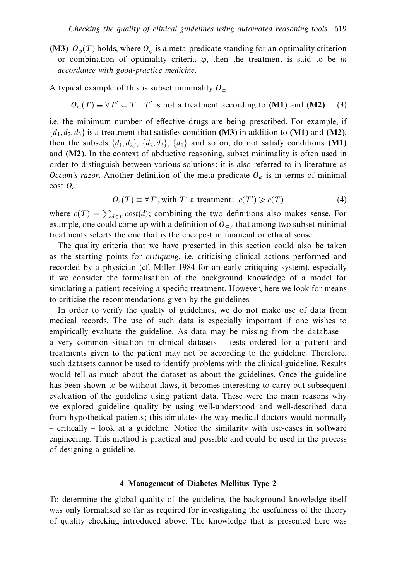**(M3)**  $O_{\varphi}(T)$  holds, where  $O_{\varphi}$  is a meta-predicate standing for an optimality criterion or combination of optimality criteria  $\varphi$ , then the treatment is said to be in accordance with good-practice medicine.

A typical example of this is subset minimality  $O_{\subseteq}$ :

$$
O_{\subset}(T) \equiv \forall T' \subset T : T'
$$
 is not a treatment according to **(M1) and (M2)** (3)

i.e. the minimum number of effective drugs are being prescribed. For example, if  $\{d_1, d_2, d_3\}$  is a treatment that satisfies condition **(M3)** in addition to **(M1)** and **(M2)**, then the subsets  $\{d_1, d_2\}$ ,  $\{d_2, d_3\}$ ,  $\{d_1\}$  and so on, do not satisfy conditions **(M1)** and **(M2)**. In the context of abductive reasoning, subset minimality is often used in order to distinguish between various solutions; it is also referred to in literature as *Occam's razor.* Another definition of the meta-predicate  $O_\varphi$  is in terms of minimal cost *Oc*:

$$
O_c(T) \equiv \forall T', \text{with } T' \text{ a treatment: } c(T') \geqslant c(T) \tag{4}
$$

where  $c(T) = \sum_{d \in T} cost(d)$ ; combining the two definitions also makes sense. For example, one could come up with a definition of  $O_{\subset,c}$  that among two subset-minimal treatments selects the one that is the cheapest in financial or ethical sense.

The quality criteria that we have presented in this section could also be taken as the starting points for critiquing, i.e. criticising clinical actions performed and recorded by a physician (cf. Miller 1984 for an early critiquing system), especially if we consider the formalisation of the background knowledge of a model for simulating a patient receiving a specific treatment. However, here we look for means to criticise the recommendations given by the guidelines.

In order to verify the quality of guidelines, we do not make use of data from medical records. The use of such data is especially important if one wishes to empirically evaluate the guideline. As data may be missing from the database – a very common situation in clinical datasets – tests ordered for a patient and treatments given to the patient may not be according to the guideline. Therefore, such datasets cannot be used to identify problems with the clinical guideline. Results would tell as much about the dataset as about the guidelines. Once the guideline has been shown to be without flaws, it becomes interesting to carry out subsequent evaluation of the guideline using patient data. These were the main reasons why we explored guideline quality by using well-understood and well-described data from hypothetical patients; this simulates the way medical doctors would normally – critically – look at a guideline. Notice the similarity with use-cases in software engineering. This method is practical and possible and could be used in the process of designing a guideline.

## **4 Management of Diabetes Mellitus Type 2**

To determine the global quality of the guideline, the background knowledge itself was only formalised so far as required for investigating the usefulness of the theory of quality checking introduced above. The knowledge that is presented here was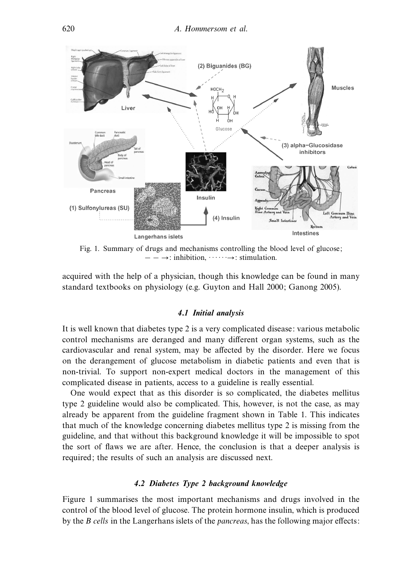

Fig. 1. Summary of drugs and mechanisms controlling the blood level of glucose;  $\rightarrow$ : inhibition,  $\cdots \rightarrow$ : stimulation.

acquired with the help of a physician, though this knowledge can be found in many standard textbooks on physiology (e.g. Guyton and Hall 2000; Ganong 2005).

## *4.1 Initial analysis*

It is well known that diabetes type 2 is a very complicated disease: various metabolic control mechanisms are deranged and many different organ systems, such as the cardiovascular and renal system, may be affected by the disorder. Here we focus on the derangement of glucose metabolism in diabetic patients and even that is non-trivial. To support non-expert medical doctors in the management of this complicated disease in patients, access to a guideline is really essential.

One would expect that as this disorder is so complicated, the diabetes mellitus type 2 guideline would also be complicated. This, however, is not the case, as may already be apparent from the guideline fragment shown in Table 1. This indicates that much of the knowledge concerning diabetes mellitus type 2 is missing from the guideline, and that without this background knowledge it will be impossible to spot the sort of flaws we are after. Hence, the conclusion is that a deeper analysis is required; the results of such an analysis are discussed next.

## *4.2 Diabetes Type 2 background knowledge*

Figure 1 summarises the most important mechanisms and drugs involved in the control of the blood level of glucose. The protein hormone insulin, which is produced by the *B cells* in the Langerhans islets of the *pancreas*, has the following major effects: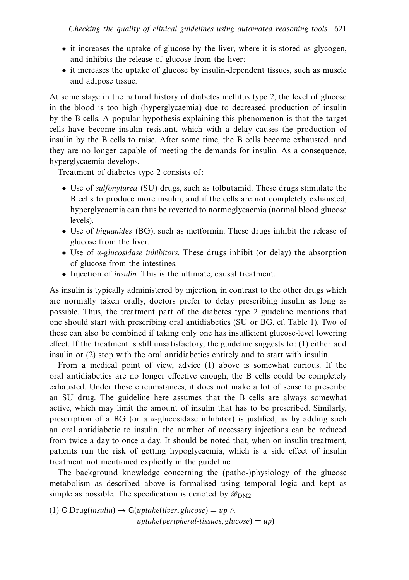- it increases the uptake of glucose by the liver, where it is stored as glycogen, and inhibits the release of glucose from the liver;
- it increases the uptake of glucose by insulin-dependent tissues, such as muscle and adipose tissue.

At some stage in the natural history of diabetes mellitus type 2, the level of glucose in the blood is too high (hyperglycaemia) due to decreased production of insulin by the B cells. A popular hypothesis explaining this phenomenon is that the target cells have become insulin resistant, which with a delay causes the production of insulin by the B cells to raise. After some time, the B cells become exhausted, and they are no longer capable of meeting the demands for insulin. As a consequence, hyperglycaemia develops.

Treatment of diabetes type 2 consists of:

- Use of *sulfonylurea* (SU) drugs, such as tolbutamid. These drugs stimulate the B cells to produce more insulin, and if the cells are not completely exhausted, hyperglycaemia can thus be reverted to normoglycaemia (normal blood glucose levels).
- Use of biguanides (BG), such as metformin. These drugs inhibit the release of glucose from the liver.
- Use of *α*-glucosidase inhibitors. These drugs inhibit (or delay) the absorption of glucose from the intestines.
- Injection of insulin. This is the ultimate, causal treatment.

As insulin is typically administered by injection, in contrast to the other drugs which are normally taken orally, doctors prefer to delay prescribing insulin as long as possible. Thus, the treatment part of the diabetes type 2 guideline mentions that one should start with prescribing oral antidiabetics (SU or BG, cf. Table 1). Two of these can also be combined if taking only one has insufficient glucose-level lowering effect. If the treatment is still unsatisfactory, the guideline suggests to: (1) either add insulin or (2) stop with the oral antidiabetics entirely and to start with insulin.

From a medical point of view, advice (1) above is somewhat curious. If the oral antidiabetics are no longer effective enough, the B cells could be completely exhausted. Under these circumstances, it does not make a lot of sense to prescribe an SU drug. The guideline here assumes that the B cells are always somewhat active, which may limit the amount of insulin that has to be prescribed. Similarly, prescription of a BG (or a *α*-glucosidase inhibitor) is justified, as by adding such an oral antidiabetic to insulin, the number of necessary injections can be reduced from twice a day to once a day. It should be noted that, when on insulin treatment, patients run the risk of getting hypoglycaemia, which is a side effect of insulin treatment not mentioned explicitly in the guideline.

The background knowledge concerning the (patho-)physiology of the glucose metabolism as described above is formalised using temporal logic and kept as simple as possible. The specification is denoted by  $\mathscr{B}_{\text{DM2}}$ :

(1) G Drug(insulin)  $\rightarrow$  G(uptake(liver, glucose) = up ∧ uptake(peripheral-tissues, glucose) =  $up$ )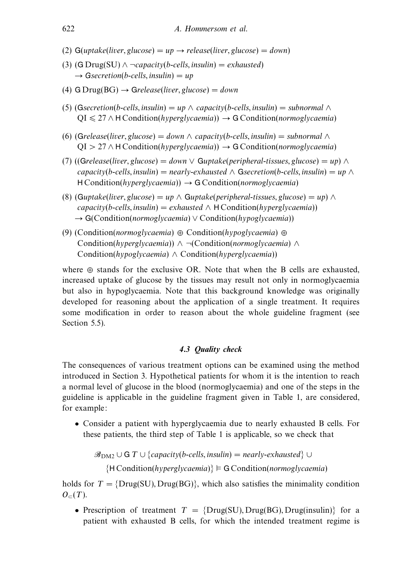- (2)  $G(uptake(liver, glucose) = up \rightarrow release(liver, glucose) = down)$
- (3) (G Drug(SU)  $\land \neg capacity(b\text{-}cells, insulin) = exhausted$ )  $\rightarrow$  Gsecretion(b-cells, insulin) = up
- (4)  $G^{(4)}$  G Drug(BG)  $\rightarrow$  Grelease(liver, glucose) = down
- (5) (Gsecretion(b-cells, insulin) = up  $\land$  capacity(b-cells, insulin) = subnormal  $\land$  $QI \leqslant 27 \wedge H$  Condition(hyperglycaemia))  $\rightarrow G$  Condition(normoglycaemia)
- (6) (Grelease(liver, glucose) = down  $\land$  capacity(b-cells, insulin) = subnormal  $\land$  $QI > 27 \wedge H$  Condition(hyperglycaemia))  $\rightarrow G$  Condition(normoglycaemia)
- (7) ((Grelease(liver, glucose) = down  $\vee$  Guptake(peripheral-tissues, glucose) = up)  $\wedge$ capacity(b-cells, insulin) = nearly-exhausted  $\land$  Gsecretion(b-cells, insulin) = up  $\land$  $H Condition(hyperglycaemia) \rightarrow G Condition(normoglycaemia)$
- (8)  $(Guptake(liver, glucose) = up \land Guptake(peripheral-tissues, glucose) = up) \land$  $capacity(b\text{-}cells, insulin) = exhausted \wedge HCondition(hyperglycaemia)$ → G(Condition(normoglycaemia) ∨ Condition(hypoglycaemia))
- (9) (Condition(normoglycaemia) ⊕ Condition(hypoglycaemia) ⊕ Condition(hyperglycaemia))  $\land \neg$ (Condition(normoglycaemia)  $\land$ Condition(hypoglycaemia)  $\land$  Condition(hyperglycaemia))

where  $\oplus$  stands for the exclusive OR. Note that when the B cells are exhausted, increased uptake of glucose by the tissues may result not only in normoglycaemia but also in hypoglycaemia. Note that this background knowledge was originally developed for reasoning about the application of a single treatment. It requires some modification in order to reason about the whole guideline fragment (see Section 5.5).

# *4.3 Quality check*

The consequences of various treatment options can be examined using the method introduced in Section 3. Hypothetical patients for whom it is the intention to reach a normal level of glucose in the blood (normoglycaemia) and one of the steps in the guideline is applicable in the guideline fragment given in Table 1, are considered, for example:

• Consider a patient with hyperglycaemia due to nearly exhausted B cells. For these patients, the third step of Table 1 is applicable, so we check that

 $\mathscr{B}_{\text{DM2}} \cup$  G *T*  $\cup$  {capacity(b-cells, insulin) = nearly-exhausted}  $\cup$ 

 ${H Condition(hyperglycaemia)} \models G Condition(normoglycaemia)$ 

holds for  $T = \{Drug(SU), Drug(BG)\}\$ , which also satisfies the minimality condition  $O$ <sup> $(T)$ </sup>.

• Prescription of treatment  $T = \{Drug(SU), Drug(BG), Drug(insulin)\}$  for a patient with exhausted B cells, for which the intended treatment regime is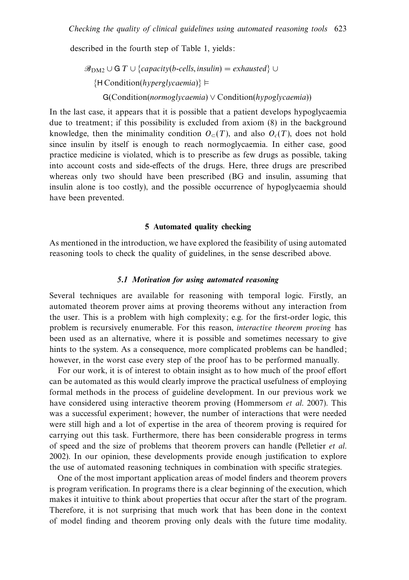described in the fourth step of Table 1, yields:

 $\mathscr{B}_{\text{DM2}} \cup$  G *T*  $\cup$  {capacity(b-cells, insulin) = exhausted}  $\cup$  ${H Condition(hyperglycaemia)} \models$  $G(Condition(normoglycaemia) \vee Condition(hypoglycaemia))$ 

In the last case, it appears that it is possible that a patient develops hypoglycaemia due to treatment; if this possibility is excluded from axiom (8) in the background knowledge, then the minimality condition  $O(T)$ , and also  $O<sub>c</sub>(T)$ , does not hold since insulin by itself is enough to reach normoglycaemia. In either case, good practice medicine is violated, which is to prescribe as few drugs as possible, taking into account costs and side-effects of the drugs. Here, three drugs are prescribed whereas only two should have been prescribed (BG and insulin, assuming that insulin alone is too costly), and the possible occurrence of hypoglycaemia should have been prevented.

# **5 Automated quality checking**

As mentioned in the introduction, we have explored the feasibility of using automated reasoning tools to check the quality of guidelines, in the sense described above.

# *5.1 Motivation for using automated reasoning*

Several techniques are available for reasoning with temporal logic. Firstly, an automated theorem prover aims at proving theorems without any interaction from the user. This is a problem with high complexity; e.g. for the first-order logic, this problem is recursively enumerable. For this reason, interactive theorem proving has been used as an alternative, where it is possible and sometimes necessary to give hints to the system. As a consequence, more complicated problems can be handled; however, in the worst case every step of the proof has to be performed manually.

For our work, it is of interest to obtain insight as to how much of the proof effort can be automated as this would clearly improve the practical usefulness of employing formal methods in the process of guideline development. In our previous work we have considered using interactive theorem proving (Hommersom *et al.* 2007). This was a successful experiment; however, the number of interactions that were needed were still high and a lot of expertise in the area of theorem proving is required for carrying out this task. Furthermore, there has been considerable progress in terms of speed and the size of problems that theorem provers can handle (Pelletier et al. 2002). In our opinion, these developments provide enough justification to explore the use of automated reasoning techniques in combination with specific strategies.

One of the most important application areas of model finders and theorem provers is program verification. In programs there is a clear beginning of the execution, which makes it intuitive to think about properties that occur after the start of the program. Therefore, it is not surprising that much work that has been done in the context of model finding and theorem proving only deals with the future time modality.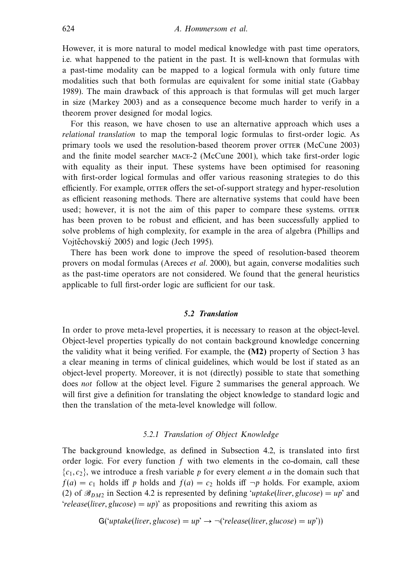However, it is more natural to model medical knowledge with past time operators, i.e. what happened to the patient in the past. It is well-known that formulas with a past-time modality can be mapped to a logical formula with only future time modalities such that both formulas are equivalent for some initial state (Gabbay 1989). The main drawback of this approach is that formulas will get much larger in size (Markey 2003) and as a consequence become much harder to verify in a theorem prover designed for modal logics.

For this reason, we have chosen to use an alternative approach which uses a relational translation to map the temporal logic formulas to first-order logic. As primary tools we used the resolution-based theorem prover orres (McCune 2003) and the finite model searcher mace-2 (McCune 2001), which take first-order logic with equality as their input. These systems have been optimised for reasoning with first-order logical formulas and offer various reasoning strategies to do this efficiently. For example, or the set-of-support strategy and hyper-resolution as efficient reasoning methods. There are alternative systems that could have been used; however, it is not the aim of this paper to compare these systems. OTTER has been proven to be robust and efficient, and has been successfully applied to solve problems of high complexity, for example in the area of algebra (Phillips and Vojtěchovskiý 2005) and logic (Jech 1995).

There has been work done to improve the speed of resolution-based theorem provers on modal formulas (Areces et al. 2000), but again, converse modalities such as the past-time operators are not considered. We found that the general heuristics applicable to full first-order logic are sufficient for our task.

# *5.2 Translation*

In order to prove meta-level properties, it is necessary to reason at the object-level. Object-level properties typically do not contain background knowledge concerning the validity what it being verified. For example, the **(M2)** property of Section 3 has a clear meaning in terms of clinical guidelines, which would be lost if stated as an object-level property. Moreover, it is not (directly) possible to state that something does not follow at the object level. Figure 2 summarises the general approach. We will first give a definition for translating the object knowledge to standard logic and then the translation of the meta-level knowledge will follow.

## 5.2.1 Translation of Object Knowledge

The background knowledge, as defined in Subsection 4.2, is translated into first order logic. For every function *f* with two elements in the co-domain, call these  ${c_1, c_2}$ , we introduce a fresh variable p for every element *a* in the domain such that  $f(a) = c_1$  holds iff *p* holds and  $f(a) = c_2$  holds iff  $\neg p$  holds. For example, axiom (2) of  $\mathscr{B}_{DM2}$  in Section 4.2 is represented by defining 'uptake(liver, glucose) = up' and 'release(liver, glucose) = up)' as propositions and rewriting this axiom as

$$
G("uptake(liver, glucose) = up" \rightarrow \neg("release(liver, glucose) = up'))
$$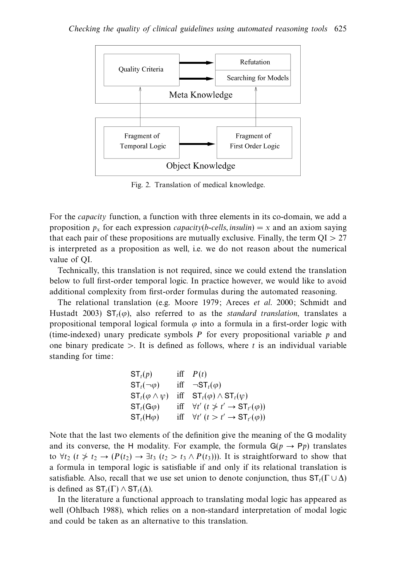

Fig. 2. Translation of medical knowledge.

For the capacity function, a function with three elements in its co-domain, we add a proposition  $p_x$  for each expression *capacity*(*b-cells, insulin*) = *x* and an axiom saying that each pair of these propositions are mutually exclusive. Finally, the term  $O<sub>I</sub> > 27$ is interpreted as a proposition as well, i.e. we do not reason about the numerical value of QI.

Technically, this translation is not required, since we could extend the translation below to full first-order temporal logic. In practice however, we would like to avoid additional complexity from first-order formulas during the automated reasoning.

The relational translation (e.g. Moore 1979; Areces et al. 2000; Schmidt and Hustadt 2003)  $ST<sub>t</sub>(\varphi)$ , also referred to as the *standard translation*, translates a propositional temporal logical formula *ϕ* into a formula in a first-order logic with (time-indexed) unary predicate symbols *P* for every propositional variable *p* and one binary predicate  $>$ . It is defined as follows, where  $t$  is an individual variable standing for time:

| $ST_t(p)$                   | iff $P(t)$                                                      |
|-----------------------------|-----------------------------------------------------------------|
| $ST_t(\neg\varphi)$         | iff $\neg ST_t(\varphi)$                                        |
| $ST_t(\varphi \wedge \psi)$ | iff $ST_t(\varphi) \wedge ST_t(\psi)$                           |
| $ST_t(G\varphi)$            | iff $\forall t'$ $(t \not\geq t' \rightarrow ST_{t'}(\varphi))$ |
| $ST_t(H\varphi)$            | iff $\forall t'$ $(t > t' \rightarrow ST_{t'}(\varphi))$        |

Note that the last two elements of the definition give the meaning of the G modality and its converse, the H modality. For example, the formula  $G(p \rightarrow Pp)$  translates to  $\forall t_2$  (*t*  $\neq t_2 \rightarrow (P(t_2) \rightarrow \exists t_3 \ (t_2 > t_3 \land P(t_3)))$ ). It is straightforward to show that a formula in temporal logic is satisfiable if and only if its relational translation is satisfiable. Also, recall that we use set union to denote conjunction, thus  $ST<sub>t</sub>(\Gamma \cup \Delta)$ is defined as  $ST_t(\Gamma) \wedge ST_t(\Delta)$ .

In the literature a functional approach to translating modal logic has appeared as well (Ohlbach 1988), which relies on a non-standard interpretation of modal logic and could be taken as an alternative to this translation.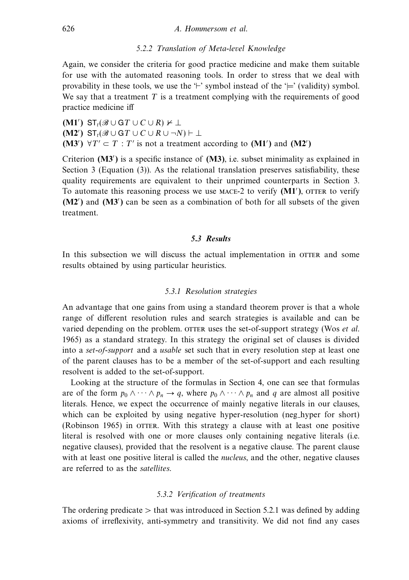#### 626 A. Hommersom et al.

## 5.2.2 Translation of Meta-level Knowledge

Again, we consider the criteria for good practice medicine and make them suitable for use with the automated reasoning tools. In order to stress that we deal with provability in these tools, we use the  $\vdash$  symbol instead of the  $\vdash$  (validity) symbol. We say that a treatment  $T$  is a treatment complying with the requirements of good practice medicine iff

 $(M1')$  ST<sub>t</sub>( $\mathscr{B} \cup GT \cup C \cup R$ )  $\vdash \bot$  $(M2')$  ST<sub>t</sub>( $\mathscr{B} \cup GT \cup C \cup R \cup \neg N$ ) ⊢ ⊥ **(M3<sup>'</sup>)**  $\forall T' \subset T : T'$  is not a treatment according to **(M1<sup>'</sup>)** and **(M2<sup>'</sup>)** 

Criterion **(M3 )** is a specific instance of **(M3)**, i.e. subset minimality as explained in Section 3 (Equation (3)). As the relational translation preserves satisfiability, these quality requirements are equivalent to their unprimed counterparts in Section 3. To automate this reasoning process we use MACE-2 to verify (M1'), OTTER to verify **(M2 )** and **(M3 )** can be seen as a combination of both for all subsets of the given treatment.

#### *5.3 Results*

In this subsection we will discuss the actual implementation in OTTER and some results obtained by using particular heuristics.

#### 5.3.1 Resolution strategies

An advantage that one gains from using a standard theorem prover is that a whole range of different resolution rules and search strategies is available and can be varied depending on the problem. OTTER uses the set-of-support strategy (Wos et al. 1965) as a standard strategy. In this strategy the original set of clauses is divided into a set-of-support and a usable set such that in every resolution step at least one of the parent clauses has to be a member of the set-of-support and each resulting resolvent is added to the set-of-support.

Looking at the structure of the formulas in Section 4, one can see that formulas are of the form  $p_0 \wedge \cdots \wedge p_n \rightarrow q$ , where  $p_0 \wedge \cdots \wedge p_n$  and q are almost all positive literals. Hence, we expect the occurrence of mainly negative literals in our clauses, which can be exploited by using negative hyper-resolution (neg hyper for short) (Robinson 1965) in orrer. With this strategy a clause with at least one positive literal is resolved with one or more clauses only containing negative literals (i.e. negative clauses), provided that the resolvent is a negative clause. The parent clause with at least one positive literal is called the *nucleus*, and the other, negative clauses are referred to as the satellites.

#### 5.3.2 Verification of treatments

The ordering predicate *>* that was introduced in Section 5.2.1 was defined by adding axioms of irreflexivity, anti-symmetry and transitivity. We did not find any cases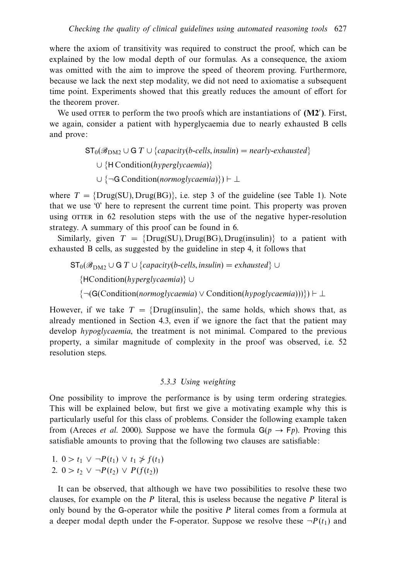where the axiom of transitivity was required to construct the proof, which can be explained by the low modal depth of our formulas. As a consequence, the axiom was omitted with the aim to improve the speed of theorem proving. Furthermore, because we lack the next step modality, we did not need to axiomatise a subsequent time point. Experiments showed that this greatly reduces the amount of effort for the theorem prover.

We used OTTER to perform the two proofs which are instantiations of  $(M2')$ . First, we again, consider a patient with hyperglycaemia due to nearly exhausted B cells and prove:

 $ST_0(\mathscr{B}_{\text{DM2}} \cup G T \cup \{capacity(b\text{-}cells, insulin) = nearly\text{-}exhausted\}$ 

∪ {H Condition(hyperglycaemia)}

∪  $\{\neg G \text{Condition}(normoglycaemia)\}\$   $\vdash \bot$ 

where  $T = \{Drug(SU), Drug(BG)\}\)$ , i.e. step 3 of the guideline (see Table 1). Note that we use '0' here to represent the current time point. This property was proven using  $T$  or  $T$  in 62 resolution steps with the use of the negative hyper-resolution strategy. A summary of this proof can be found in 6.

Similarly, given  $T = \{Drug(SU), Drug(BG), Drug(insulin)\}\)$  to a patient with exhausted B cells, as suggested by the guideline in step 4, it follows that

$$
ST_0(\mathcal{B}_{DM2} \cup G \cap \cup \{capacity(b-cells, insulin) = exhausted\} \cup
$$
  
\n{HCondition(*hyperglycaemia*)}  
\n
$$
\{\neg(G(Condition(normoglycaemia) \vee Condition(hypoglycaemia)))\}\}\vdash \bot
$$

However, if we take  $T = \{Drug(insulin)\}\$ , the same holds, which shows that, as already mentioned in Section 4.3, even if we ignore the fact that the patient may develop hypoglycaemia, the treatment is not minimal. Compared to the previous property, a similar magnitude of complexity in the proof was observed, i.e. 52 resolution steps.

# 5.3.3 Using weighting

One possibility to improve the performance is by using term ordering strategies. This will be explained below, but first we give a motivating example why this is particularly useful for this class of problems. Consider the following example taken from (Areces *et al.* 2000). Suppose we have the formula  $G(p \rightarrow Fp)$ . Proving this satisfiable amounts to proving that the following two clauses are satisfiable:

1. 
$$
0 > t_1 \vee \neg P(t_1) \vee t_1 \neq f(t_1)
$$
  
2.  $0 > t_2 \vee \neg P(t_2) \vee P(f(t_2))$ 

It can be observed, that although we have two possibilities to resolve these two clauses, for example on the *P* literal, this is useless because the negative *P* literal is only bound by the G-operator while the positive *P* literal comes from a formula at a deeper modal depth under the F-operator. Suppose we resolve these  $\neg P(t_1)$  and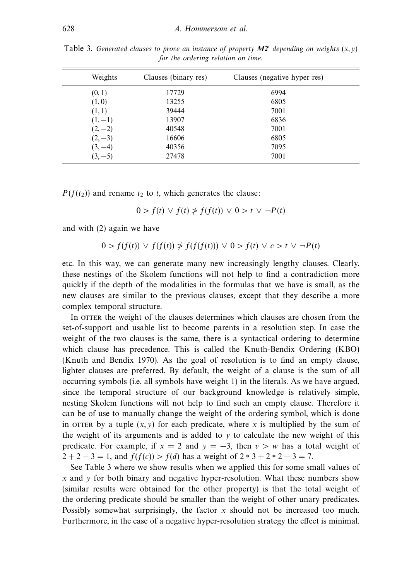| Weights   | Clauses (binary res) | Clauses (negative hyper res) |
|-----------|----------------------|------------------------------|
| (0, 1)    | 17729                | 6994                         |
| (1,0)     | 13255                | 6805                         |
| (1, 1)    | 39444                | 7001                         |
| $(1,-1)$  | 13907                | 6836                         |
| $(2,-2)$  | 40548                | 7001                         |
| $(2,-3)$  | 16606                | 6805                         |
| $(3,-4)$  | 40356                | 7095                         |
| $(3, -5)$ | 27478                | 7001                         |

Table 3. Generated clauses to prove an instance of property  $M2'$  depending on weights  $(x, y)$ for the ordering relation on time.

 $P(f(t_2))$  and rename  $t_2$  to  $t$ , which generates the clause:

$$
0 > f(t) \lor f(t) \not> f(f(t)) \lor 0 > t \lor \neg P(t)
$$

and with (2) again we have

0 *> f*(*f*(*t*)) ∨ *f*(*f*(*t*)) *> f*(*f*(*f*(*t*))) ∨ 0 *> f*(*t*) ∨ *c>t* ∨ ¬*P*(*t*)

etc. In this way, we can generate many new increasingly lengthy clauses. Clearly, these nestings of the Skolem functions will not help to find a contradiction more quickly if the depth of the modalities in the formulas that we have is small, as the new clauses are similar to the previous clauses, except that they describe a more complex temporal structure.

In orther the weight of the clauses determines which clauses are chosen from the set-of-support and usable list to become parents in a resolution step. In case the weight of the two clauses is the same, there is a syntactical ordering to determine which clause has precedence. This is called the Knuth-Bendix Ordering (KBO) (Knuth and Bendix 1970). As the goal of resolution is to find an empty clause, lighter clauses are preferred. By default, the weight of a clause is the sum of all occurring symbols (i.e. all symbols have weight 1) in the literals. As we have argued, since the temporal structure of our background knowledge is relatively simple, nesting Skolem functions will not help to find such an empty clause. Therefore it can be of use to manually change the weight of the ordering symbol, which is done in orthoust by a tuple  $(x, y)$  for each predicate, where x is multiplied by the sum of the weight of its arguments and is added to *y* to calculate the new weight of this predicate. For example, if  $x = 2$  and  $y = -3$ , then  $v > w$  has a total weight of  $2+2-3=1$ , and  $f(f(c)) > f(d)$  has a weight of  $2*3+2*2-3=7$ .

See Table 3 where we show results when we applied this for some small values of *x* and *y* for both binary and negative hyper-resolution. What these numbers show (similar results were obtained for the other property) is that the total weight of the ordering predicate should be smaller than the weight of other unary predicates. Possibly somewhat surprisingly, the factor *x* should not be increased too much. Furthermore, in the case of a negative hyper-resolution strategy the effect is minimal.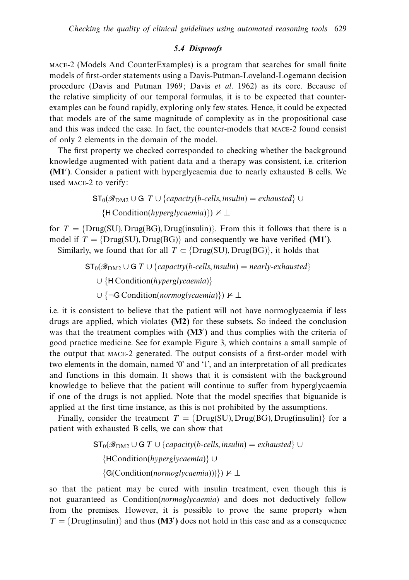# *5.4 Disproofs*

mace-2 (Models And CounterExamples) is a program that searches for small finite models of first-order statements using a Davis-Putman-Loveland-Logemann decision procedure (Davis and Putman 1969; Davis et al. 1962) as its core. Because of the relative simplicity of our temporal formulas, it is to be expected that counterexamples can be found rapidly, exploring only few states. Hence, it could be expected that models are of the same magnitude of complexity as in the propositional case and this was indeed the case. In fact, the counter-models that mace-2 found consist of only 2 elements in the domain of the model.

The first property we checked corresponded to checking whether the background knowledge augmented with patient data and a therapy was consistent, i.e. criterion **(M1 )**. Consider a patient with hyperglycaemia due to nearly exhausted B cells. We used mace-2 to verify:

> $ST_0(\mathscr{B}_{\text{DM2}} \cup G \ T \cup \{capacity(b-cells, insulin) = exhausted \} \cup$  $\{H Condition(hyperglvcaemia)\}\n\neq \perp$

for  $T = \{Drug(SU), Drug(BG), Drug-insulin)\}\$ . From this it follows that there is a model if  $T = \{Drug(SU), Drug(BG)\}$  and consequently we have verified **(M1'**). Similarly, we found that for all  $T \subset \{Drug(SU), Drug(BG)\}\$ , it holds that

> $ST_0(\mathscr{B}_{\text{DM2}} \cup GT \cup \{capacity(b\text{-}cells, insulin) = nearly\text{-}exhausted\})$ ∪ {H Condition(hyperglycaemia)}  $∪$  {¬G Condition(normoglycaemia)})  $\vdash \bot$

i.e. it is consistent to believe that the patient will not have normoglycaemia if less drugs are applied, which violates **(M2)** for these subsets. So indeed the conclusion was that the treatment complies with **(M3 )** and thus complies with the criteria of good practice medicine. See for example Figure 3, which contains a small sample of the output that mace-2 generated. The output consists of a first-order model with two elements in the domain, named '0' and '1', and an interpretation of all predicates and functions in this domain. It shows that it is consistent with the background knowledge to believe that the patient will continue to suffer from hyperglycaemia if one of the drugs is not applied. Note that the model specifies that biguanide is applied at the first time instance, as this is not prohibited by the assumptions.

Finally, consider the treatment  $T = \{Drug(SU), Drug(BG), Drug(insulin)\}\$  for a patient with exhausted B cells, we can show that

> $ST_0(\mathscr{B}_{\text{DM2}} \cup G T \cup \{capacity(b\text{-}cells, insulin) = exhausted\} \cup$ {HCondition(hyperglycaemia)} ∪  ${G(Condition(normoglycaemia))) } \neq \bot$

so that the patient may be cured with insulin treatment, even though this is not guaranteed as Condition(normoglycaemia) and does not deductively follow from the premises. However, it is possible to prove the same property when  $T = \{Drug(insulin)\}$  and thus (M3<sup>'</sup>) does not hold in this case and as a consequence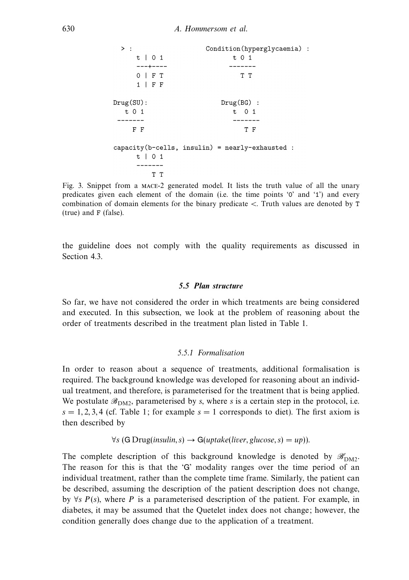$>$ : Condition(hyperglycaemia) :  $t \mid 01$ t 0 1  $---+-- \frac{1}{2}$  $0$  | F T T T  $1$  | F F  $Drug(SU):$  $Drug(BG)$  : t 0 1 t 0 1 ---------------- $F F$ T F capacity(b-cells, insulin) = nearly-exhausted :  $t \mid 01$  $------$ T T

Fig. 3. Snippet from a mace-2 generated model. It lists the truth value of all the unary predicates given each element of the domain (i.e. the time points '0' and '1') and every combination of domain elements for the binary predicate *<*. Truth values are denoted by T (true) and F (false).

the guideline does not comply with the quality requirements as discussed in Section 4.3.

#### *5.5 Plan structure*

So far, we have not considered the order in which treatments are being considered and executed. In this subsection, we look at the problem of reasoning about the order of treatments described in the treatment plan listed in Table 1.

#### 5.5.1 Formalisation

In order to reason about a sequence of treatments, additional formalisation is required. The background knowledge was developed for reasoning about an individual treatment, and therefore, is parameterised for the treatment that is being applied. We postulate  $\mathscr{B}_{\text{DM2}}$ , parameterised by *s*, where *s* is a certain step in the protocol, i.e.  $s = 1, 2, 3, 4$  (cf. Table 1; for example  $s = 1$  corresponds to diet). The first axiom is then described by

$$
\forall s \ (G \ Drug(insulin, s) \rightarrow G(uptake(liver, glucose, s) = up)).
$$

The complete description of this background knowledge is denoted by  $\mathscr{B}_{\mathrm{DM2}}'$ . The reason for this is that the 'G' modality ranges over the time period of an individual treatment, rather than the complete time frame. Similarly, the patient can be described, assuming the description of the patient description does not change, by ∀*s P*(*s*), where *P* is a parameterised description of the patient. For example, in diabetes, it may be assumed that the Quetelet index does not change; however, the condition generally does change due to the application of a treatment.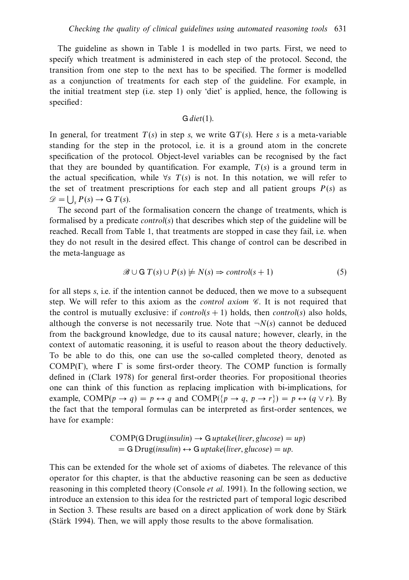The guideline as shown in Table 1 is modelled in two parts. First, we need to specify which treatment is administered in each step of the protocol. Second, the transition from one step to the next has to be specified. The former is modelled as a conjunction of treatments for each step of the guideline. For example, in the initial treatment step (i.e. step 1) only 'diet' is applied, hence, the following is specified:

# G diet(1)*.*

In general, for treatment  $T(s)$  in step *s*, we write  $GT(s)$ . Here *s* is a meta-variable standing for the step in the protocol, i.e. it is a ground atom in the concrete specification of the protocol. Object-level variables can be recognised by the fact that they are bounded by quantification. For example,  $T(s)$  is a ground term in the actual specification, while  $\forall s$  T(*s*) is not. In this notation, we will refer to the set of treatment prescriptions for each step and all patient groups  $P(s)$  as  $\mathscr{D} = \bigcup_{s} P(s) \rightarrow G T(s).$ 

The second part of the formalisation concern the change of treatments, which is formalised by a predicate control(*s*) that describes which step of the guideline will be reached. Recall from Table 1, that treatments are stopped in case they fail, i.e. when they do not result in the desired effect. This change of control can be described in the meta-language as

$$
\mathscr{B} \cup G T(s) \cup P(s) \neq N(s) \Rightarrow control(s+1)
$$
\n<sup>(5)</sup>

for all steps *s*, i.e. if the intention cannot be deduced, then we move to a subsequent step. We will refer to this axiom as the *control axiom*  $C$ . It is not required that the control is mutually exclusive: if  $control(s + 1)$  holds, then  $control(s)$  also holds, although the converse is not necessarily true. Note that  $\neg N(s)$  cannot be deduced from the background knowledge, due to its causal nature; however, clearly, in the context of automatic reasoning, it is useful to reason about the theory deductively. To be able to do this, one can use the so-called completed theory, denoted as COMP(Γ), where  $\Gamma$  is some first-order theory. The COMP function is formally defined in (Clark 1978) for general first-order theories. For propositional theories one can think of this function as replacing implication with bi-implications, for example, COMP( $p \rightarrow q$ ) =  $p \leftrightarrow q$  and COMP({ $p \rightarrow q$ ,  $p \rightarrow r$ }) =  $p \leftrightarrow (q \lor r)$ . By the fact that the temporal formulas can be interpreted as first-order sentences, we have for example:

$$
COMP(G Drug(insulin) \rightarrow Guptake(liver, glucose) = up)
$$
  
= G Drug(insulin) \leftrightarrow Guptake(liver, glucose) = up.

This can be extended for the whole set of axioms of diabetes. The relevance of this operator for this chapter, is that the abductive reasoning can be seen as deductive reasoning in this completed theory (Console et al. 1991). In the following section, we introduce an extension to this idea for the restricted part of temporal logic described in Section 3. These results are based on a direct application of work done by Stärk (Stärk 1994). Then, we will apply those results to the above formalisation.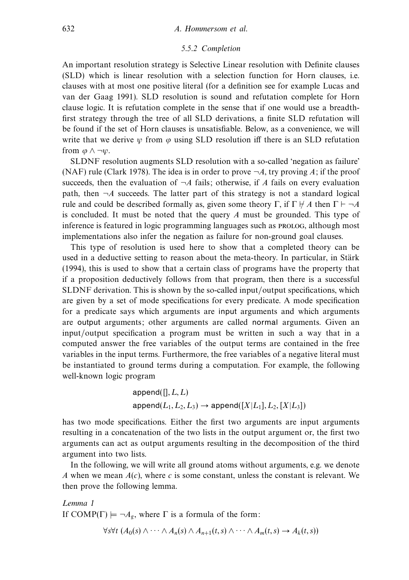#### 5.5.2 Completion

An important resolution strategy is Selective Linear resolution with Definite clauses (SLD) which is linear resolution with a selection function for Horn clauses, i.e. clauses with at most one positive literal (for a definition see for example Lucas and van der Gaag 1991). SLD resolution is sound and refutation complete for Horn clause logic. It is refutation complete in the sense that if one would use a breadthfirst strategy through the tree of all SLD derivations, a finite SLD refutation will be found if the set of Horn clauses is unsatisfiable. Below, as a convenience, we will write that we derive  $\psi$  from  $\varphi$  using SLD resolution iff there is an SLD refutation from  $\varphi \wedge \neg \psi$ .

SLDNF resolution augments SLD resolution with a so-called 'negation as failure' (NAF) rule (Clark 1978). The idea is in order to prove  $\neg A$ , try proving *A*; if the proof succeeds, then the evaluation of  $\neg A$  fails; otherwise, if *A* fails on every evaluation path, then  $\neg A$  succeeds. The latter part of this strategy is not a standard logical rule and could be described formally as, given some theory  $\Gamma$ , if  $\Gamma \not\vdash A$  then  $\Gamma \vdash \neg A$ is concluded. It must be noted that the query *A* must be grounded. This type of inference is featured in logic programming languages such as prolog, although most implementations also infer the negation as failure for non-ground goal clauses.

This type of resolution is used here to show that a completed theory can be used in a deductive setting to reason about the meta-theory. In particular, in Stärk (1994), this is used to show that a certain class of programs have the property that if a proposition deductively follows from that program, then there is a successful SLDNF derivation. This is shown by the so-called input/output specifications, which are given by a set of mode specifications for every predicate. A mode specification for a predicate says which arguments are input arguments and which arguments are output arguments; other arguments are called normal arguments. Given an input/output specification a program must be written in such a way that in a computed answer the free variables of the output terms are contained in the free variables in the input terms. Furthermore, the free variables of a negative literal must be instantiated to ground terms during a computation. For example, the following well-known logic program

$$
append([], L, L)
$$
  
append( $[L_1, L_2, L_3) \rightarrow append([X|L_1], L_2, [X|L_3])$ 

has two mode specifications. Either the first two arguments are input arguments resulting in a concatenation of the two lists in the output argument or, the first two arguments can act as output arguments resulting in the decomposition of the third argument into two lists.

In the following, we will write all ground atoms without arguments, e.g. we denote *A* when we mean  $A(c)$ , where *c* is some constant, unless the constant is relevant. We then prove the following lemma.

Lemma 1 If  $COMP(\Gamma) \models \neg A_g$ , where  $\Gamma$  is a formula of the form:

∀*s*∀*t* (*A*0(*s*) ∧···∧ *An*(*s*) ∧ *An*+1(*t, s*) ∧···∧ *Am*(*t, s*) → *Ak*(*t, s*))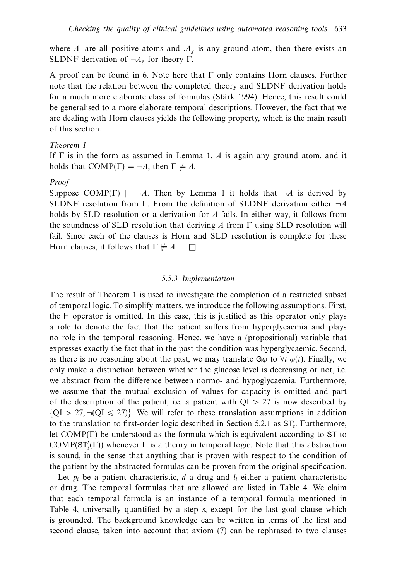where  $A_i$  are all positive atoms and  $A_g$  is any ground atom, then there exists an SLDNF derivation of ¬*Ag* for theory Γ.

A proof can be found in 6. Note here that Γ only contains Horn clauses. Further note that the relation between the completed theory and SLDNF derivation holds for a much more elaborate class of formulas (Stärk 1994). Hence, this result could be generalised to a more elaborate temporal descriptions. However, the fact that we are dealing with Horn clauses yields the following property, which is the main result of this section.

## Theorem 1

If Γ is in the form as assumed in Lemma 1, *A* is again any ground atom, and it holds that  $COMP(\Gamma) \models \neg A$ , then  $\Gamma \not\models A$ .

## Proof

Suppose COMP( $\Gamma$ )  $= \neg A$ . Then by Lemma 1 it holds that  $\neg A$  is derived by SLDNF resolution from Γ. From the definition of SLDNF derivation either ¬*A* holds by SLD resolution or a derivation for *A* fails. In either way, it follows from the soundness of SLD resolution that deriving *A* from Γ using SLD resolution will fail. Since each of the clauses is Horn and SLD resolution is complete for these Horn clauses, it follows that  $\Gamma \not\models A$ .  $\Box$ 

## 5.5.3 Implementation

The result of Theorem 1 is used to investigate the completion of a restricted subset of temporal logic. To simplify matters, we introduce the following assumptions. First, the H operator is omitted. In this case, this is justified as this operator only plays a role to denote the fact that the patient suffers from hyperglycaemia and plays no role in the temporal reasoning. Hence, we have a (propositional) variable that expresses exactly the fact that in the past the condition was hyperglycaemic. Second, as there is no reasoning about the past, we may translate  $G\varphi$  to  $\forall t \varphi(t)$ . Finally, we only make a distinction between whether the glucose level is decreasing or not, i.e. we abstract from the difference between normo- and hypoglycaemia. Furthermore, we assume that the mutual exclusion of values for capacity is omitted and part of the description of the patient, i.e. a patient with  $QI > 27$  is now described by  ${QI > 27, \neg (QI \leq 27)}$ . We will refer to these translation assumptions in addition to the translation to first-order logic described in Section 5.2.1 as ST *<sup>t</sup>*. Furthermore, let  $COMP(\Gamma)$  be understood as the formula which is equivalent according to ST to COMP( $ST'_t(\Gamma)$ ) whenever  $\Gamma$  is a theory in temporal logic. Note that this abstraction is sound, in the sense that anything that is proven with respect to the condition of the patient by the abstracted formulas can be proven from the original specification.

Let  $p_i$  be a patient characteristic, *d* a drug and  $l_i$  either a patient characteristic or drug. The temporal formulas that are allowed are listed in Table 4. We claim that each temporal formula is an instance of a temporal formula mentioned in Table 4, universally quantified by a step *s*, except for the last goal clause which is grounded. The background knowledge can be written in terms of the first and second clause, taken into account that axiom (7) can be rephrased to two clauses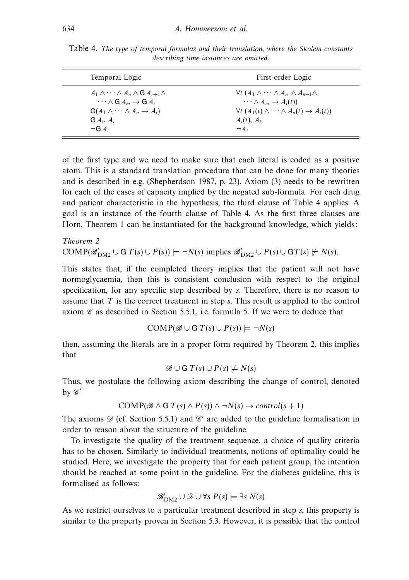| Temporal Logic                                                  | First-order Logic                                                     |  |
|-----------------------------------------------------------------|-----------------------------------------------------------------------|--|
| $A_1 \wedge \cdots \wedge A_n \wedge \mathsf{G} A_{n+1} \wedge$ | $\forall t$ $(A_1 \wedge \cdots \wedge A_n \wedge A_{n+1} \wedge$     |  |
| $\cdots \wedge G A_m \rightarrow G A_i$                         | $\cdots \wedge A_m \rightarrow A_i(t)$                                |  |
| $G(A_1 \wedge \cdots \wedge A_n \rightarrow A_i)$               | $\forall t$ $(A_1(t) \wedge \cdots \wedge A_n(t) \rightarrow A_i(t))$ |  |
| $G A_i, A_i$                                                    | $A_i(t)$ , $A_i$                                                      |  |
| $\neg G A$                                                      | $\neg A_i$                                                            |  |

Table 4. The type of temporal formulas and their translation, where the Skolem constants describing time instances are omitted.

of the first type and we need to make sure that each literal is coded as a positive atom. This is a standard translation procedure that can be done for many theories and is described in e.g. (Shepherdson 1987, p. 23). Axiom (3) needs to be rewritten for each of the cases of capacity implied by the negated sub-formula. For each drug and patient characteristic in the hypothesis, the third clause of Table 4 applies. A goal is an instance of the fourth clause of Table 4. As the first three clauses are Horn, Theorem 1 can be instantiated for the background knowledge, which yields:

Theorem 2  $COMP(\mathscr{B}_{DM2}' \cup G T(s) \cup P(s)) \models \neg N(s) \text{ implies } \mathscr{B}_{DM2}' \cup P(s) \cup G T(s) \not\models N(s).$ 

This states that, if the completed theory implies that the patient will not have normoglycaemia, then this is consistent conclusion with respect to the original specification, for any specific step described by *s*. Therefore, there is no reason to assume that *T* is the correct treatment in step *s*. This result is applied to the control axiom  $\mathscr C$  as described in Section 5.5.1, i.e. formula 5. If we were to deduce that

$$
\text{COMP}(\mathscr{B}\cup\textsf{G}~T(s)\cup P(s))\models \neg N(s)
$$

then, assuming the literals are in a proper form required by Theorem 2, this implies that

$$
\mathscr{B} \cup G T(s) \cup P(s) \not\models N(s)
$$

Thus, we postulate the following axiom describing the change of control, denoted by  $\mathscr{C}'$ 

$$
COMP(\mathscr{B}\wedge G T(s)\wedge P(s))\wedge \neg N(s)\rightarrow control(s+1)
$$

The axioms  $\mathscr{D}$  (cf. Section 5.5.1) and  $\mathscr{C}'$  are added to the guideline formalisation in order to reason about the structure of the guideline.

To investigate the quality of the treatment sequence, a choice of quality criteria has to be chosen. Similarly to individual treatments, notions of optimality could be studied. Here, we investigate the property that for each patient group, the intention should be reached at some point in the guideline. For the diabetes guideline, this is formalised as follows:

$$
\mathscr{B}_{\text{DM2}}' \cup \mathscr{D} \cup \forall s \; P(s) \models \exists s \; N(s)
$$

As we restrict ourselves to a particular treatment described in step *s*, this property is similar to the property proven in Section 5.3. However, it is possible that the control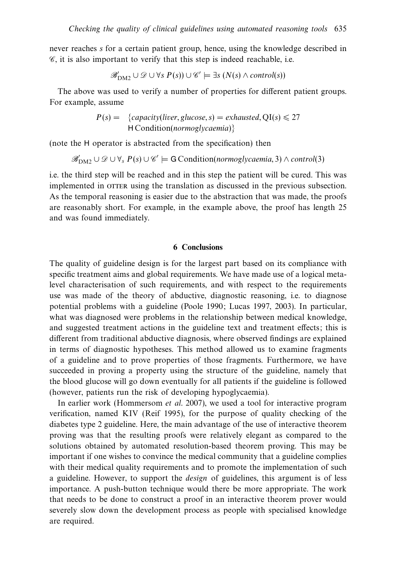never reaches *s* for a certain patient group, hence, using the knowledge described in  $\mathscr{C}$ , it is also important to verify that this step is indeed reachable, i.e.

$$
\mathscr{B}_{\text{DM2}}' \cup \mathscr{D} \cup \forall s \; P(s)) \cup \mathscr{C}' \models \exists s \; (N(s) \land \mathit{control}(s))
$$

The above was used to verify a number of properties for different patient groups. For example, assume

$$
P(s) = \{capacity(liver, glucose, s) = exhausted, QI(s) \le 27
$$
  
HO condition(*normoglycaemia*)\}

(note the H operator is abstracted from the specification) then

$$
\mathscr{B}_{\text{DM2}}' \cup \mathscr{D} \cup \forall_{s} P(s) \cup \mathscr{C}' \models \text{G Condition}(normoglycaemia, 3) \land control(3)
$$

i.e. the third step will be reached and in this step the patient will be cured. This was implemented in orrer using the translation as discussed in the previous subsection. As the temporal reasoning is easier due to the abstraction that was made, the proofs are reasonably short. For example, in the example above, the proof has length 25 and was found immediately.

#### **6 Conclusions**

The quality of guideline design is for the largest part based on its compliance with specific treatment aims and global requirements. We have made use of a logical metalevel characterisation of such requirements, and with respect to the requirements use was made of the theory of abductive, diagnostic reasoning, i.e. to diagnose potential problems with a guideline (Poole 1990; Lucas 1997, 2003). In particular, what was diagnosed were problems in the relationship between medical knowledge, and suggested treatment actions in the guideline text and treatment effects; this is different from traditional abductive diagnosis, where observed findings are explained in terms of diagnostic hypotheses. This method allowed us to examine fragments of a guideline and to prove properties of those fragments. Furthermore, we have succeeded in proving a property using the structure of the guideline, namely that the blood glucose will go down eventually for all patients if the guideline is followed (however, patients run the risk of developing hypoglycaemia).

In earlier work (Hommersom et al. 2007), we used a tool for interactive program verification, named KIV (Reif 1995), for the purpose of quality checking of the diabetes type 2 guideline. Here, the main advantage of the use of interactive theorem proving was that the resulting proofs were relatively elegant as compared to the solutions obtained by automated resolution-based theorem proving. This may be important if one wishes to convince the medical community that a guideline complies with their medical quality requirements and to promote the implementation of such a guideline. However, to support the design of guidelines, this argument is of less importance. A push-button technique would there be more appropriate. The work that needs to be done to construct a proof in an interactive theorem prover would severely slow down the development process as people with specialised knowledge are required.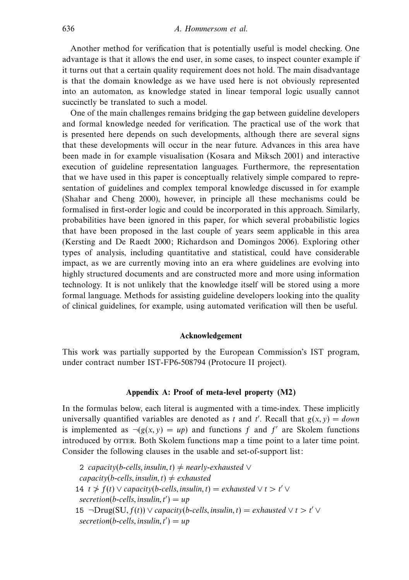Another method for verification that is potentially useful is model checking. One advantage is that it allows the end user, in some cases, to inspect counter example if it turns out that a certain quality requirement does not hold. The main disadvantage is that the domain knowledge as we have used here is not obviously represented into an automaton, as knowledge stated in linear temporal logic usually cannot succinctly be translated to such a model.

One of the main challenges remains bridging the gap between guideline developers and formal knowledge needed for verification. The practical use of the work that is presented here depends on such developments, although there are several signs that these developments will occur in the near future. Advances in this area have been made in for example visualisation (Kosara and Miksch 2001) and interactive execution of guideline representation languages. Furthermore, the representation that we have used in this paper is conceptually relatively simple compared to representation of guidelines and complex temporal knowledge discussed in for example (Shahar and Cheng 2000), however, in principle all these mechanisms could be formalised in first-order logic and could be incorporated in this approach. Similarly, probabilities have been ignored in this paper, for which several probabilistic logics that have been proposed in the last couple of years seem applicable in this area (Kersting and De Raedt 2000; Richardson and Domingos 2006). Exploring other types of analysis, including quantitative and statistical, could have considerable impact, as we are currently moving into an era where guidelines are evolving into highly structured documents and are constructed more and more using information technology. It is not unlikely that the knowledge itself will be stored using a more formal language. Methods for assisting guideline developers looking into the quality of clinical guidelines, for example, using automated verification will then be useful.

### **Acknowledgement**

This work was partially supported by the European Commission's IST program, under contract number IST-FP6-508794 (Protocure II project).

## **Appendix A: Proof of meta-level property (M2)**

In the formulas below, each literal is augmented with a time-index. These implicitly universally quantified variables are denoted as *t* and *t'*. Recall that  $g(x, y) = down$ is implemented as  $\neg$ (*g*(*x, y*) = *up*) and functions *f* and *f'* are Skolem functions introduced by OTTER. Both Skolem functions map a time point to a later time point. Consider the following clauses in the usable and set-of-support list:

2 capacity(b-cells, insulin, t)  $\neq$  nearly-exhausted ∨ capacity(b-cells, insulin,  $t$ )  $\neq$  exhausted 14 *t*  $\neq$  *f*(*t*) ∨ *capacity*(*b*-*cells, insulin, <i>t*) = *exhausted* ∨ *t* > *t'* ∨  $section(b\text{-}cells, insulin, t') = up$ 15  $\neg Drug(SU, f(t)) \lor capacity(b\text{-}cells, insulin, t) = exhausted \lor t > t' \lor$  $section(b\text{-}cells, insulin, t') = up$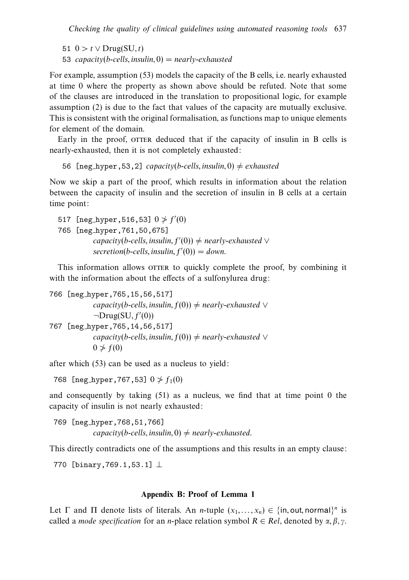51  $0 > t \vee$  Drug(SU, t) 53  $capacity(b\text{-}cells, insulin, 0) = nearly\text{-}exhausted$ 

For example, assumption (53) models the capacity of the B cells, i.e. nearly exhausted at time 0 where the property as shown above should be refuted. Note that some of the clauses are introduced in the translation to propositional logic, for example assumption (2) is due to the fact that values of the capacity are mutually exclusive. This is consistent with the original formalisation, as functions map to unique elements for element of the domain.

Early in the proof, OTTER deduced that if the capacity of insulin in B cells is nearly-exhausted, then it is not completely exhausted:

56 [neg\_hyper, 53, 2] capacity(b-cells, insulin, 0)  $\neq$  exhausted

Now we skip a part of the proof, which results in information about the relation between the capacity of insulin and the secretion of insulin in B cells at a certain time point:

```
517 [neg_hyper,516,53] 0 \neq f'(0)765 [neg hyper,761,50,675]
          capacity(b-cells, insulin, f
(0)) = nearly-exhausted ∨
          secretion(b-cells, insulin, f
(0)) = down.
```
This information allows or the quickly complete the proof, by combining it with the information about the effects of a sulfonylurea drug:

```
766 [neg hyper,765,15,56,517]
             capacity(b-cells, insulin, f(0)) \neq nearly-exhausted \vee\negDrug(SU, f'(0))
767 [neg hyper,765,14,56,517]
             capacity(b-cells, insulin, f(0)) \neq nearly-exhausted \vee0 \neq f(0)
```
after which (53) can be used as a nucleus to yield:

768  $[$ neg\_hyper,767,53]  $0 \neq f_1(0)$ 

and consequently by taking (51) as a nucleus, we find that at time point 0 the capacity of insulin is not nearly exhausted:

```
769 [neg hyper,768,51,766]
             capacity(b\text{-}cells, insulin, 0) \neq nearly\text{-}exhausted.
```
This directly contradicts one of the assumptions and this results in an empty clause:

770 [binary,769.1,53.1] ⊥

## **Appendix B: Proof of Lemma 1**

Let Γ and Π denote lists of literals. An *n*-tuple  $(x_1,...,x_n) \in \{\text{in}, \text{out}, \text{normal}\}^n$  is called a *mode specification* for an *n*-place relation symbol  $R \in Rel$ , denoted by  $\alpha, \beta, \gamma$ .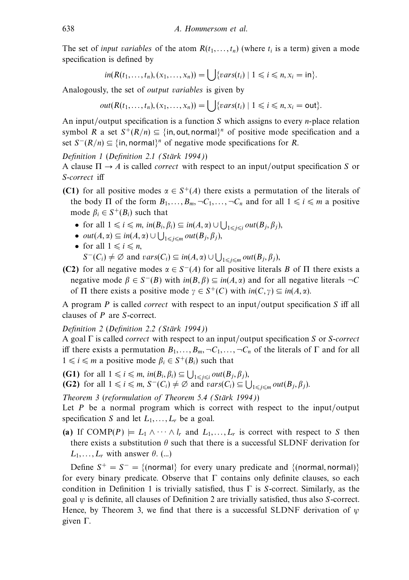The set of *input variables* of the atom  $R(t_1, \ldots, t_n)$  (where  $t_i$  is a term) given a mode specification is defined by

$$
in(R(t_1,\ldots,t_n),(x_1,\ldots,x_n))=\bigcup \{vars(t_i)\mid 1\leq i\leq n, x_i=\text{in}\}.
$$

Analogously, the set of output variables is given by

 $out(R(t_1,...,t_n),(x_1,...,x_n)) = \bigcup \{vars(t_i) | 1 \le i \le n, x_i = \text{out}\}.$ 

An input/output specification is a function *S* which assigns to every *n*-place relation symbol *R* a set  $S^+(R/n) \subseteq {\{in, out, normal\}}^n$  of positive mode specification and a set  $S^{-}(R/n) \subseteq \{in, normal\}^n$  of negative mode specifications for *R*.

Definition 1 (Definition 2.1 (Stärk 1994))

A clause  $\Pi \rightarrow A$  is called *correct* with respect to an input/output specification *S* or S-correct iff

- **(C1)** for all positive modes  $\alpha \in S^+(A)$  there exists a permutation of the literals of the body  $\Pi$  of the form  $B_1, \ldots, B_m, \neg C_1, \ldots, \neg C_n$  and for all  $1 \leq i \leq m$  a positive mode  $\beta_i \in S^+(B_i)$  such that
	- for all  $1 \le i \le m$ ,  $in(B_i, \beta_i) \subseteq in(A, \alpha) \cup \bigcup_{1 \le j \le i} out(B_j, \beta_j)$ ,
	- $\bullet$  *out*(*A*, α) ⊆ *in*(*A*, α) ∪ ∪<sub>1≤*j*≤*m*</sub> *out*(*B<sub>j</sub>*, *β<sub>j</sub>*),
	- for all  $1 \leq i \leq n$ ,  $S^{-}(C_i) \neq \emptyset$  and  $vars(C_i) \subseteq in(A, \alpha) \cup \bigcup_{1 \leq j \leq m} out(B_j, \beta_j)$ ,
- **(C2)** for all negative modes  $\alpha \in S^{-1}(A)$  for all positive literals *B* of  $\Pi$  there exists a negative mode  $\beta \in S^{-1}(B)$  with  $in(B, \beta) \subseteq in(A, \alpha)$  and for all negative literals  $\neg C$ of  $\Pi$  there exists a positive mode  $\gamma \in S^+(C)$  with  $in(C, \gamma) \subseteq in(A, \alpha)$ .

A program *P* is called correct with respect to an input/output specification *S* iff all clauses of *P* are *S*-correct.

# Definition 2 (Definition 2.2 (Stärk 1994))

A goal Γ is called correct with respect to an input/output specification *S* or S-correct iff there exists a permutation  $B_1, \ldots, B_m, \neg C_1, \ldots, \neg C_n$  of the literals of  $\Gamma$  and for all  $1 ≤ i ≤ m$  a positive mode  $β<sub>i</sub> ∈ S<sup>+</sup>(B<sub>i</sub>)$  such that

**(G1)** for all  $1 \le i \le m$ ,  $in(B_i, \beta_i) \subseteq \bigcup_{1 \le j \le i} out(B_j, \beta_j)$ ,

**(G2)** for all  $1 \le i \le m$ ,  $S^{-}(C_i) \ne \emptyset$  and  $vars(C_i) \subseteq \bigcup_{1 \le j \le m} out(B_j, \beta_j)$ .

Theorem 3 (reformulation of Theorem 5.4 (Stärk 1994))

Let  $P$  be a normal program which is correct with respect to the input/output specification *S* and let  $L_1, \ldots, L_r$  be a goal.

(a) If  $\text{COMP}(P) \models L_1 \land \cdots \land l_r$  and  $L_1, \ldots, L_r$  is correct with respect to *S* then there exists a substitution *θ* such that there is a successful SLDNF derivation for  $L_1, \ldots, L_r$  with answer  $\theta$ . (...)

Define  $S^+ = S^- = \{$ (normal) for every unary predicate and  $\{$ (normal, normal) $\}$ for every binary predicate. Observe that  $\Gamma$  contains only definite clauses, so each condition in Definition 1 is trivially satisfied, thus Γ is *S*-correct. Similarly, as the goal  $\psi$  is definite, all clauses of Definition 2 are trivially satisfied, thus also *S*-correct. Hence, by Theorem 3, we find that there is a successful SLDNF derivation of  $\psi$ given Γ.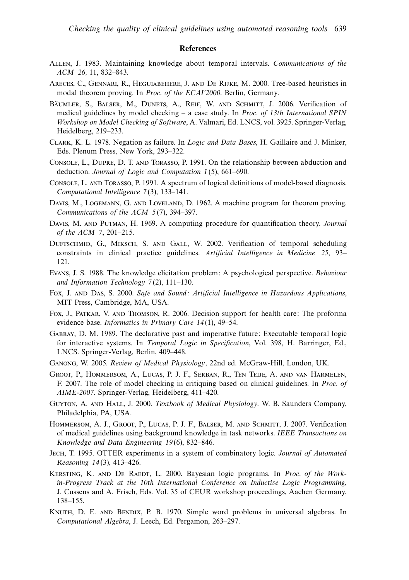#### **References**

- Allen, J. 1983. Maintaining knowledge about temporal intervals. Communications of the ACM 26, 11, 832–843.
- Areces, C., Gennari, R., Heguiabehere, J. and De Rijke, M. 2000. Tree-based heuristics in modal theorem proving. In *Proc. of the ECAI'2000*. Berlin, Germany.
- BÄUMLER, S., BALSER, M., DUNETS, A., REIF, W. AND SCHMITT, J. 2006. Verification of medical guidelines by model checking  $-$  a case study. In *Proc. of 13th International SPIN* Workshop on Model Checking of Software, A. Valmari, Ed. LNCS, vol. 3925. Springer-Verlag, Heidelberg, 219–233.
- Clark, K. L. 1978. Negation as failure. In Logic and Data Bases, H. Gaillaire and J. Minker, Eds. Plenum Press, New York, 293–322.
- Console, L., Dupre, D. T. and Torasso, P. 1991. On the relationship between abduction and deduction. Journal of Logic and Computation 1 (5), 661–690.
- Console, L. and Torasso, P. 1991. A spectrum of logical definitions of model-based diagnosis. Computational Intelligence 7 (3), 133–141.
- DAVIS, M., LOGEMANN, G. AND LOVELAND, D. 1962. A machine program for theorem proving. Communications of the  $ACM$  5(7), 394–397.
- Davis, M. and Putman, H. 1969. A computing procedure for quantification theory. Journal of the ACM 7, 201–215.
- DUFTSCHMID, G., MIKSCH, S. AND GALL, W. 2002. Verification of temporal scheduling constraints in clinical practice guidelines. Artificial Intelligence in Medicine 25, 93– 121.
- Evans, J. S. 1988. The knowledge elicitation problem: A psychological perspective. Behaviour and Information Technology 7 (2), 111–130.
- Fox, J. AND DAS, S. 2000. Safe and Sound: Artificial Intelligence in Hazardous Applications, MIT Press, Cambridge, MA, USA.
- Fox, J., Patkar, V. and Thomson, R. 2006. Decision support for health care: The proforma evidence base. Informatics in Primary Care 14 (1), 49–54.
- Gabbay, D. M. 1989. The declarative past and imperative future: Executable temporal logic for interactive systems. In Temporal Logic in Specification, Vol. 398, H. Barringer, Ed., LNCS. Springer-Verlag, Berlin, 409–448.
- Ganong, W. 2005. Review of Medical Physiology, 22nd ed. McGraw-Hill, London, UK.
- Groot, P., Hommersom, A., Lucas, P. J. F., Serban, R., Ten Teije, A. and van Harmelen, F. 2007. The role of model checking in critiquing based on clinical guidelines. In Proc. of AIME-2007. Springer-Verlag, Heidelberg, 411–420.
- GUYTON, A. AND HALL, J. 2000. Textbook of Medical Physiology. W. B. Saunders Company, Philadelphia, PA, USA.
- Hommersom, A. J., Groot, P., Lucas, P. J. F., Balser, M. and Schmitt, J. 2007. Verification of medical guidelines using background knowledge in task networks. IEEE Transactions on Knowledge and Data Engineering 19 (6), 832–846.
- JECH, T. 1995. OTTER experiments in a system of combinatory logic. Journal of Automated Reasoning 14 (3), 413–426.
- KERSTING, K. AND DE RAEDT, L. 2000. Bayesian logic programs. In *Proc. of the Work*in-Progress Track at the 10th International Conference on Inductive Logic Programming, J. Cussens and A. Frisch, Eds. Vol. 35 of CEUR workshop proceedings, Aachen Germany, 138–155.
- KNUTH, D. E. AND BENDIX, P. B. 1970. Simple word problems in universal algebras. In Computational Algebra, J. Leech, Ed. Pergamon, 263–297.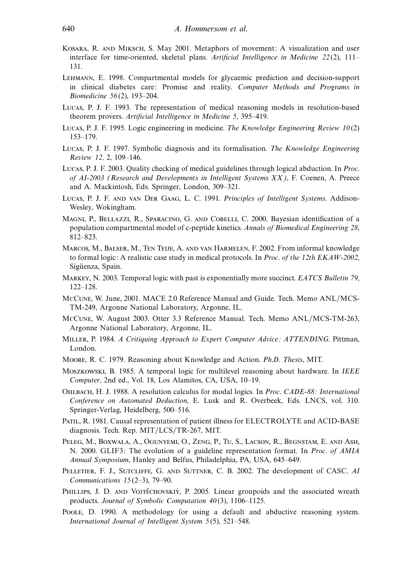- Kosara, R. and Miksch, S. May 2001. Metaphors of movement: A visualization and user interface for time-oriented, skeletal plans. Artificial Intelligence in Medicine  $22(2)$ , 111– 131.
- Lehmann, E. 1998. Compartmental models for glycaemic prediction and decision-support in clinical diabetes care: Promise and reality. Computer Methods and Programs in Biomedicine 56 (2), 193–204.
- Lucas, P. J. F. 1993. The representation of medical reasoning models in resolution-based theorem provers. Artificial Intelligence in Medicine 5, 395–419.
- Lucas, P. J. F. 1995. Logic engineering in medicine. The Knowledge Engineering Review  $10(2)$ 153–179.
- Lucas, P. J. F. 1997. Symbolic diagnosis and its formalisation. The Knowledge Engineering Review 12, 2, 109–146.
- Lucas, P. J. F. 2003. Quality checking of medical guidelines through logical abduction. In Proc. of AI-2003 (Research and Developments in Intelligent Systems XX), F. Coenen, A. Preece and A. Mackintosh, Eds. Springer, London, 309–321.
- Lucas, P. J. F. and van Der Gaag, L. C. 1991. Principles of Intelligent Systems. Addison-Wesley, Wokingham.
- Magni, P., Bellazzi, R., Sparacino, G. and Cobelli, C. 2000. Bayesian identification of a population compartmental model of c-peptide kinetics. Annals of Biomedical Engineering 28, 812–823.
- Marcos, M., Balser, M., Ten Teije, A. and van Harmelen, F. 2002. From informal knowledge to formal logic: A realistic case study in medical protocols. In *Proc. of the 12th EKAW-2002*, Sigüenza, Spain.
- MARKEY, N. 2003. Temporal logic with past is exponentially more succinct. *EATCS Bulletin 79*, 122–128.
- McCune, W. June, 2001. MACE 2.0 Reference Manual and Guide. Tech. Memo ANL/MCS-TM-249, Argonne National Laboratory, Argonne, IL.
- McCune, W. August 2003. Otter 3.3 Reference Manual. Tech. Memo ANL/MCS-TM-263, Argonne National Laboratory, Argonne, IL.
- MILLER, P. 1984. A Critiquing Approach to Expert Computer Advice: ATTENDING. Pittman, London.
- Moore, R. C. 1979. Reasoning about Knowledge and Action. Ph.D. Thesis, MIT.
- Moszkowski, B. 1985. A temporal logic for multilevel reasoning about hardware. In IEEE Computer, 2nd ed., Vol. 18, Los Alamitos, CA, USA, 10–19.
- OHLBACH, H. J. 1988. A resolution calculus for modal logics. In Proc. CADE-88: International Conference on Automated Deduction, E. Lusk and R. Overbeek, Eds. LNCS, vol. 310. Springer-Verlag, Heidelberg, 500–516.
- PATIL, R. 1981. Causal representation of patient illness for ELECTROLYTE and ACID-BASE diagnosis. Tech. Rep. MIT/LCS/TR-267, MIT.
- Peleg, M., Boxwala, A., Ogunyemi, O., Zeng, P., Tu, S., Lacson, R., Begnstam, E. and Ash, N. 2000. GLIF3: The evolution of a guideline representation format. In Proc. of AMIA Annual Symposium, Hanley and Belfus, Philadelphia, PA, USA, 645–649.
- Pelletier, F. J., Sutcliffe, G. and Suttner, C. B. 2002. The development of CASC. AI Communications 15 (2–3), 79–90.
- PHILLIPS, J. D. AND VOJTĚCHOVSKIÝ, P. 2005. Linear groupoids and the associated wreath products. Journal of Symbolic Computation 40(3), 1106–1125.
- Poole, D. 1990. A methodology for using a default and abductive reasoning system. International Journal of Intelligent System 5 (5), 521–548.